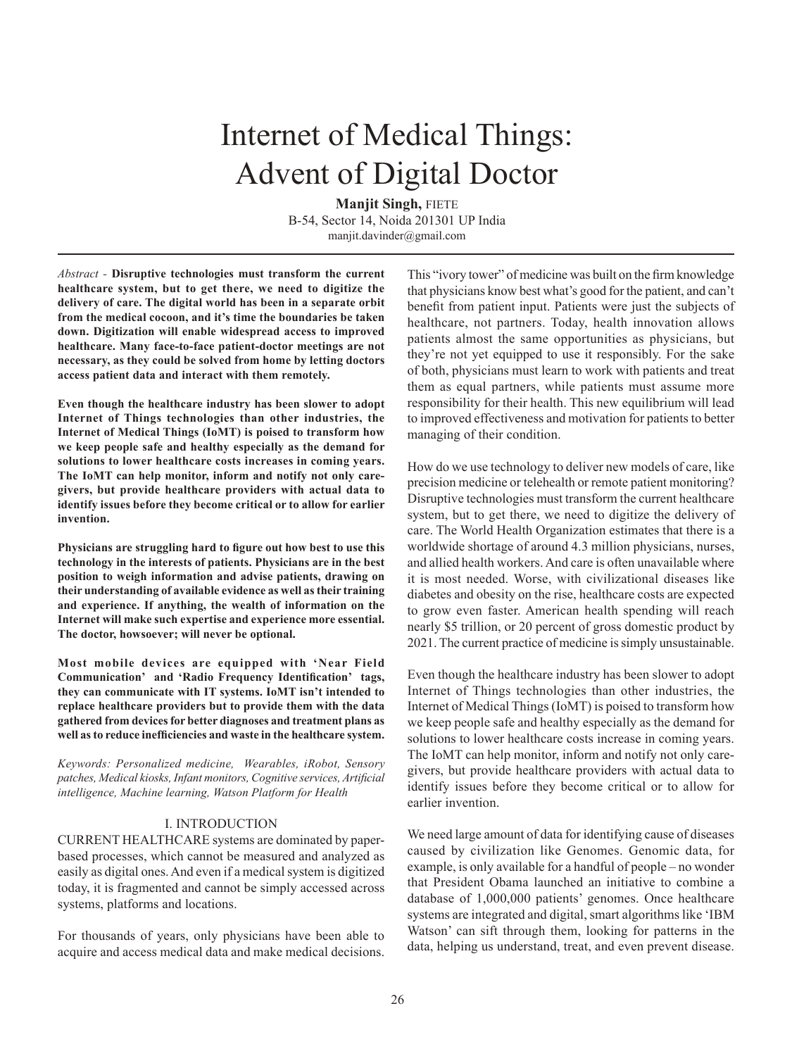# Internet of Medical Things: Advent of Digital Doctor

**Manjit Singh,** FIETE B-54, Sector 14, Noida 201301 UP India manjit.davinder@gmail.com

*Abstract -* **Disruptive technologies must transform the current healthcare system, but to get there, we need to digitize the delivery of care. The digital world has been in a separate orbit from the medical cocoon, and it's time the boundaries be taken down. Digitization will enable widespread access to improved healthcare. Many face-to-face patient-doctor meetings are not necessary, as they could be solved from home by letting doctors access patient data and interact with them remotely.**

**Even though the healthcare industry has been slower to adopt Internet of Things technologies than other industries, the Internet of Medical Things (IoMT) is poised to transform how we keep people safe and healthy especially as the demand for solutions to lower healthcare costs increases in coming years. The IoMT can help monitor, inform and notify not only caregivers, but provide healthcare providers with actual data to identify issues before they become critical or to allow for earlier invention.**

**Physicians are struggling hard to figure out how best to use this technology in the interests of patients. Physicians are in the best position to weigh information and advise patients, drawing on their understanding of available evidence as well as their training and experience. If anything, the wealth of information on the Internet will make such expertise and experience more essential. The doctor, howsoever; will never be optional.**

**Most mobile devices are equipped with 'Near Field Communication' and 'Radio Frequency Identification' tags, they can communicate with IT systems. IoMT isn't intended to replace healthcare providers but to provide them with the data gathered from devices for better diagnoses and treatment plans as well as to reduce inefficiencies and waste in the healthcare system.**

*Keywords: Personalized medicine, Wearables, iRobot, Sensory patches, Medical kiosks, Infant monitors, Cognitive services, Artificial intelligence, Machine learning, Watson Platform for Health*

# I. INTRODUCTION

CURRENT HEALTHCARE systems are dominated by paperbased processes, which cannot be measured and analyzed as easily as digital ones. And even if a medical system is digitized today, it is fragmented and cannot be simply accessed across systems, platforms and locations.

For thousands of years, only physicians have been able to acquire and access medical data and make medical decisions.

This "ivory tower" of medicine was built on the firm knowledge that physicians know best what's good for the patient, and can't benefit from patient input. Patients were just the subjects of healthcare, not partners. Today, health innovation allows patients almost the same opportunities as physicians, but they're not yet equipped to use it responsibly. For the sake of both, physicians must learn to work with patients and treat them as equal partners, while patients must assume more responsibility for their health. This new equilibrium will lead to improved effectiveness and motivation for patients to better managing of their condition.

How do we use technology to deliver new models of care, like precision medicine or telehealth or remote patient monitoring? Disruptive technologies must transform the current healthcare system, but to get there, we need to digitize the delivery of care. The World Health Organization estimates that there is a worldwide shortage of around 4.3 million physicians, nurses, and allied health workers. And care is often unavailable where it is most needed. Worse, with civilizational diseases like diabetes and obesity on the rise, healthcare costs are expected to grow even faster. American health spending will reach nearly \$5 trillion, or 20 percent of gross domestic product by 2021. The current practice of medicine is simply unsustainable.

Even though the healthcare industry has been slower to adopt Internet of Things technologies than other industries, the Internet of Medical Things (IoMT) is poised to transform how we keep people safe and healthy especially as the demand for solutions to lower healthcare costs increase in coming years. The IoMT can help monitor, inform and notify not only caregivers, but provide healthcare providers with actual data to identify issues before they become critical or to allow for earlier invention.

We need large amount of data for identifying cause of diseases caused by civilization like Genomes. Genomic data, for example, is only available for a handful of people – no wonder that President Obama launched an initiative to combine a database of 1,000,000 patients' genomes. Once healthcare systems are integrated and digital, smart algorithms like 'IBM Watson' can sift through them, looking for patterns in the data, helping us understand, treat, and even prevent disease.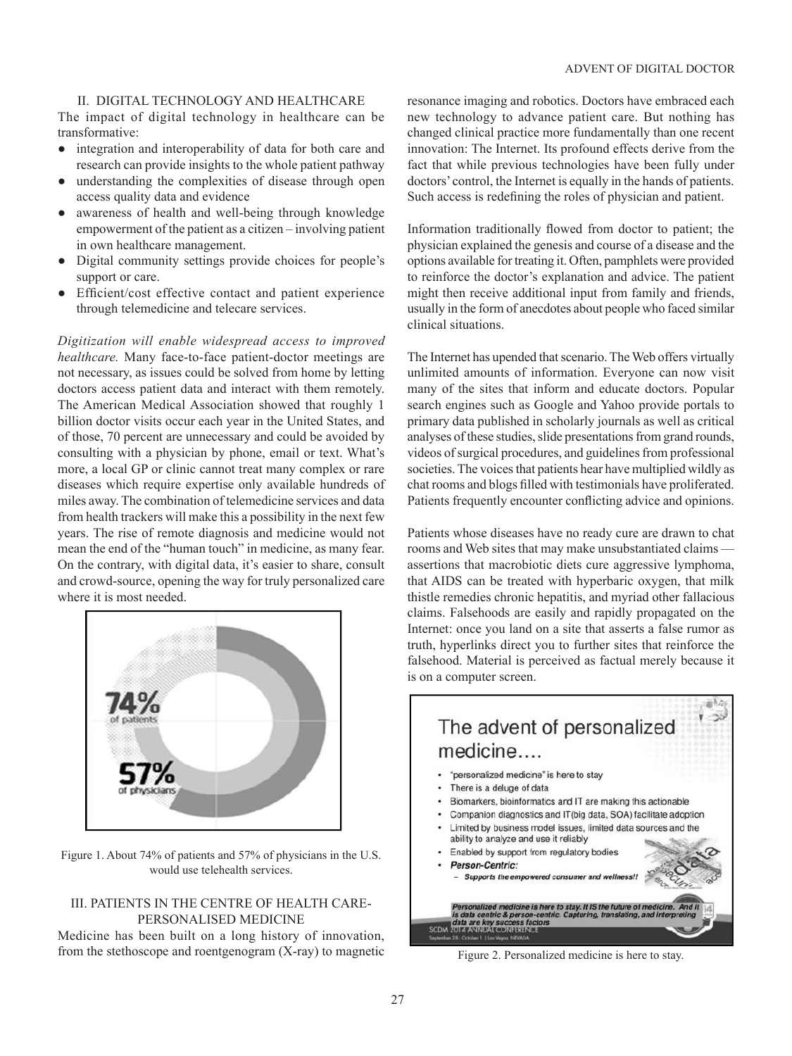### II. DIGITAL TECHNOLOGY AND HEALTHCARE

The impact of digital technology in healthcare can be transformative:

- integration and interoperability of data for both care and research can provide insights to the whole patient pathway
- understanding the complexities of disease through open access quality data and evidence
- awareness of health and well-being through knowledge empowerment of the patient as a citizen – involving patient in own healthcare management.
- Digital community settings provide choices for people's support or care.
- Efficient/cost effective contact and patient experience through telemedicine and telecare services.

*Digitization will enable widespread access to improved healthcare.* Many face-to-face patient-doctor meetings are not necessary, as issues could be solved from home by letting doctors access patient data and interact with them remotely. The American Medical Association showed that roughly 1 billion doctor visits occur each year in the United States, and of those, 70 percent are unnecessary and could be avoided by consulting with a physician by phone, email or text. What's more, a local GP or clinic cannot treat many complex or rare diseases which require expertise only available hundreds of miles away. The combination of telemedicine services and data from health trackers will make this a possibility in the next few years. The rise of remote diagnosis and medicine would not mean the end of the "human touch" in medicine, as many fear. On the contrary, with digital data, it's easier to share, consult and crowd-source, opening the way for truly personalized care where it is most needed.



Figure 1. About 74% of patients and 57% of physicians in the U.S. would use telehealth services.

# III. PATIENTS IN THE CENTRE OF HEALTH CARE-PERSONALISED MEDICINE

Medicine has been built on a long history of innovation, from the stethoscope and roentgenogram (X-ray) to magnetic resonance imaging and robotics. Doctors have embraced each new technology to advance patient care. But nothing has changed clinical practice more fundamentally than one recent innovation: The Internet. Its profound effects derive from the fact that while previous technologies have been fully under doctors' control, the Internet is equally in the hands of patients. Such access is redefining the roles of physician and patient.

Information traditionally flowed from doctor to patient; the physician explained the genesis and course of a disease and the options available for treating it. Often, pamphlets were provided to reinforce the doctor's explanation and advice. The patient might then receive additional input from family and friends, usually in the form of anecdotes about people who faced similar clinical situations.

The Internet has upended that scenario. The Web offers virtually unlimited amounts of information. Everyone can now visit many of the sites that inform and educate doctors. Popular search engines such as Google and Yahoo provide portals to primary data published in scholarly journals as well as critical analyses of these studies, slide presentations from grand rounds, videos of surgical procedures, and guidelines from professional societies. The voices that patients hear have multiplied wildly as chat rooms and blogs filled with testimonials have proliferated. Patients frequently encounter conflicting advice and opinions.

Patients whose diseases have no ready cure are drawn to chat rooms and Web sites that may make unsubstantiated claims assertions that macrobiotic diets cure aggressive lymphoma, that AIDS can be treated with hyperbaric oxygen, that milk thistle remedies chronic hepatitis, and myriad other fallacious claims. Falsehoods are easily and rapidly propagated on the Internet: once you land on a site that asserts a false rumor as truth, hyperlinks direct you to further sites that reinforce the falsehood. Material is perceived as factual merely because it is on a computer screen.



Figure 2. Personalized medicine is here to stay.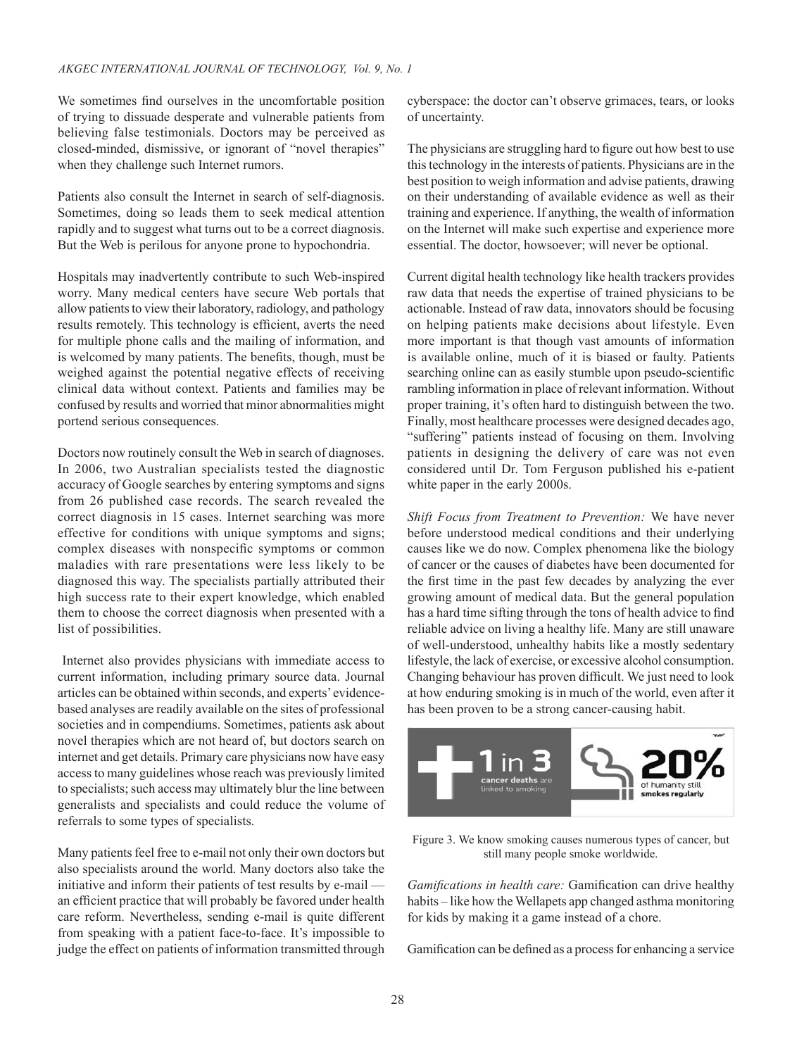We sometimes find ourselves in the uncomfortable position of trying to dissuade desperate and vulnerable patients from believing false testimonials. Doctors may be perceived as closed-minded, dismissive, or ignorant of "novel therapies" when they challenge such Internet rumors.

Patients also consult the Internet in search of self-diagnosis. Sometimes, doing so leads them to seek medical attention rapidly and to suggest what turns out to be a correct diagnosis. But the Web is perilous for anyone prone to hypochondria.

Hospitals may inadvertently contribute to such Web-inspired worry. Many medical centers have secure Web portals that allow patients to view their laboratory, radiology, and pathology results remotely. This technology is efficient, averts the need for multiple phone calls and the mailing of information, and is welcomed by many patients. The benefits, though, must be weighed against the potential negative effects of receiving clinical data without context. Patients and families may be confused by results and worried that minor abnormalities might portend serious consequences.

Doctors now routinely consult the Web in search of diagnoses. In 2006, two Australian specialists tested the diagnostic accuracy of Google searches by entering symptoms and signs from 26 published case records. The search revealed the correct diagnosis in 15 cases. Internet searching was more effective for conditions with unique symptoms and signs; complex diseases with nonspecific symptoms or common maladies with rare presentations were less likely to be diagnosed this way. The specialists partially attributed their high success rate to their expert knowledge, which enabled them to choose the correct diagnosis when presented with a list of possibilities.

 Internet also provides physicians with immediate access to current information, including primary source data. Journal articles can be obtained within seconds, and experts' evidencebased analyses are readily available on the sites of professional societies and in compendiums. Sometimes, patients ask about novel therapies which are not heard of, but doctors search on internet and get details. Primary care physicians now have easy access to many guidelines whose reach was previously limited to specialists; such access may ultimately blur the line between generalists and specialists and could reduce the volume of referrals to some types of specialists.

Many patients feel free to e-mail not only their own doctors but also specialists around the world. Many doctors also take the initiative and inform their patients of test results by e-mail an efficient practice that will probably be favored under health care reform. Nevertheless, sending e-mail is quite different from speaking with a patient face-to-face. It's impossible to judge the effect on patients of information transmitted through

cyberspace: the doctor can't observe grimaces, tears, or looks of uncertainty.

The physicians are struggling hard to figure out how best to use this technology in the interests of patients. Physicians are in the best position to weigh information and advise patients, drawing on their understanding of available evidence as well as their training and experience. If anything, the wealth of information on the Internet will make such expertise and experience more essential. The doctor, howsoever; will never be optional.

Current digital health technology like health trackers provides raw data that needs the expertise of trained physicians to be actionable. Instead of raw data, innovators should be focusing on helping patients make decisions about lifestyle. Even more important is that though vast amounts of information is available online, much of it is biased or faulty. Patients searching online can as easily stumble upon pseudo-scientific rambling information in place of relevant information. Without proper training, it's often hard to distinguish between the two. Finally, most healthcare processes were designed decades ago, "suffering" patients instead of focusing on them. Involving patients in designing the delivery of care was not even considered until Dr. Tom Ferguson published his e-patient white paper in the early 2000s.

*Shift Focus from Treatment to Prevention:* We have never before understood medical conditions and their underlying causes like we do now. Complex phenomena like the biology of cancer or the causes of diabetes have been documented for the first time in the past few decades by analyzing the ever growing amount of medical data. But the general population has a hard time sifting through the tons of health advice to find reliable advice on living a healthy life. Many are still unaware of well-understood, unhealthy habits like a mostly sedentary lifestyle, the lack of exercise, or excessive alcohol consumption. Changing behaviour has proven difficult. We just need to look at how enduring smoking is in much of the world, even after it has been proven to be a strong cancer-causing habit.



Figure 3. We know smoking causes numerous types of cancer, but still many people smoke worldwide.

*Gamifications in health care:* Gamification can drive healthy habits – like how the Wellapets app changed asthma monitoring for kids by making it a game instead of a chore.

Gamification can be defined as a process for enhancing a service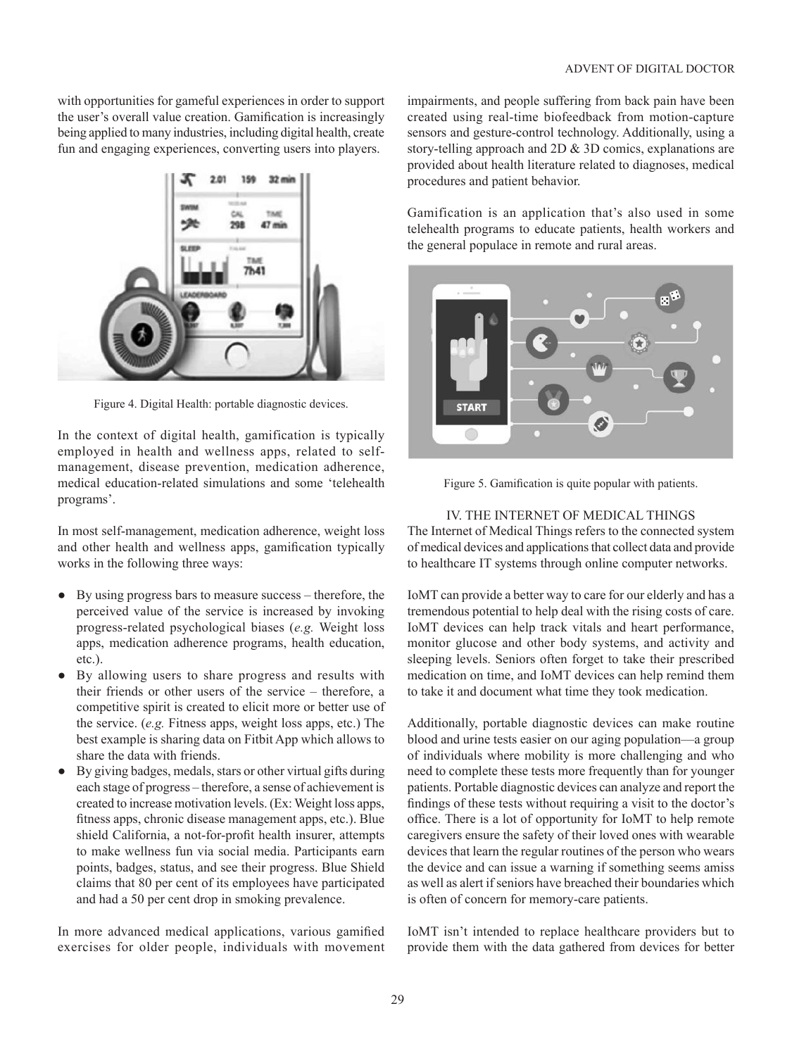with opportunities for gameful experiences in order to support the user's overall value creation. Gamification is increasingly being applied to many industries, including digital health, create fun and engaging experiences, converting users into players.



Figure 4. Digital Health: portable diagnostic devices.

In the context of digital health, gamification is typically employed in health and wellness apps, related to selfmanagement, disease prevention, medication adherence, medical education-related simulations and some 'telehealth programs'.

In most self-management, medication adherence, weight loss and other health and wellness apps, gamification typically works in the following three ways:

- By using progress bars to measure success therefore, the perceived value of the service is increased by invoking progress-related psychological biases (*e.g.* Weight loss apps, medication adherence programs, health education, etc.).
- By allowing users to share progress and results with their friends or other users of the service – therefore, a competitive spirit is created to elicit more or better use of the service. (*e.g.* Fitness apps, weight loss apps, etc.) The best example is sharing data on Fitbit App which allows to share the data with friends.
- By giving badges, medals, stars or other virtual gifts during each stage of progress – therefore, a sense of achievement is created to increase motivation levels. (Ex: Weight loss apps, fitness apps, chronic disease management apps, etc.). Blue shield California, a not-for-profit health insurer, attempts to make wellness fun via social media. Participants earn points, badges, status, and see their progress. Blue Shield claims that 80 per cent of its employees have participated and had a 50 per cent drop in smoking prevalence.

In more advanced medical applications, various gamified exercises for older people, individuals with movement impairments, and people suffering from back pain have been created using real-time biofeedback from motion-capture sensors and gesture-control technology. Additionally, using a story-telling approach and 2D & 3D comics, explanations are provided about health literature related to diagnoses, medical procedures and patient behavior.

Gamification is an application that's also used in some telehealth programs to educate patients, health workers and the general populace in remote and rural areas.



Figure 5. Gamification is quite popular with patients.

# IV. THE INTERNET OF MEDICAL THINGS

The Internet of Medical Things refers to the connected system of medical devices and applications that collect data and provide to healthcare IT systems through online computer networks.

IoMT can provide a better way to care for our elderly and has a tremendous potential to help deal with the rising costs of care. IoMT devices can help track vitals and heart performance, monitor glucose and other body systems, and activity and sleeping levels. Seniors often forget to take their prescribed medication on time, and IoMT devices can help remind them to take it and document what time they took medication.

Additionally, portable diagnostic devices can make routine blood and urine tests easier on our aging population—a group of individuals where mobility is more challenging and who need to complete these tests more frequently than for younger patients. Portable diagnostic devices can analyze and report the findings of these tests without requiring a visit to the doctor's office. There is a lot of opportunity for IoMT to help remote caregivers ensure the safety of their loved ones with wearable devices that learn the regular routines of the person who wears the device and can issue a warning if something seems amiss as well as alert if seniors have breached their boundaries which is often of concern for memory-care patients.

IoMT isn't intended to replace healthcare providers but to provide them with the data gathered from devices for better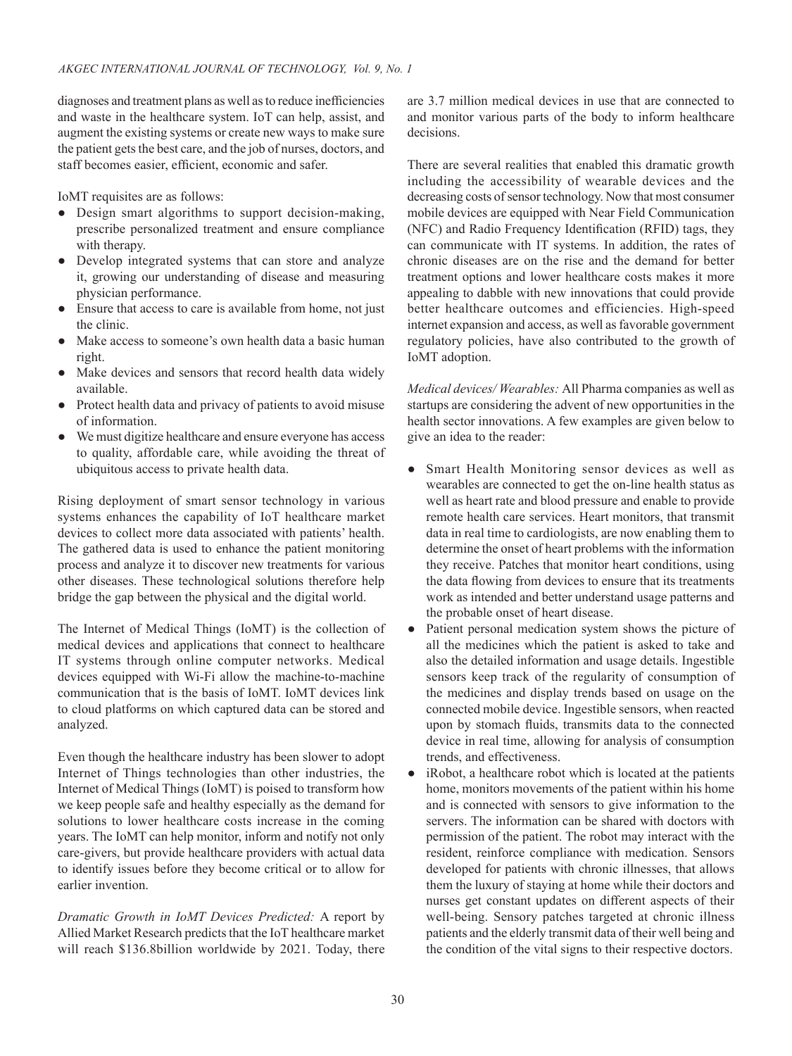diagnoses and treatment plans as well as to reduce inefficiencies and waste in the healthcare system. IoT can help, assist, and augment the existing systems or create new ways to make sure the patient gets the best care, and the job of nurses, doctors, and staff becomes easier, efficient, economic and safer.

IoMT requisites are as follows:

- Design smart algorithms to support decision-making, prescribe personalized treatment and ensure compliance with therapy.
- Develop integrated systems that can store and analyze it, growing our understanding of disease and measuring physician performance.
- Ensure that access to care is available from home, not just the clinic.
- Make access to someone's own health data a basic human right.
- Make devices and sensors that record health data widely available.
- Protect health data and privacy of patients to avoid misuse of information.
- We must digitize healthcare and ensure everyone has access to quality, affordable care, while avoiding the threat of ubiquitous access to private health data.

Rising deployment of smart sensor technology in various systems enhances the capability of IoT healthcare market devices to collect more data associated with patients' health. The gathered data is used to enhance the patient monitoring process and analyze it to discover new treatments for various other diseases. These technological solutions therefore help bridge the gap between the physical and the digital world.

The Internet of Medical Things (IoMT) is the collection of medical devices and applications that connect to healthcare IT systems through online computer networks. Medical devices equipped with Wi-Fi allow the machine-to-machine communication that is the basis of IoMT. IoMT devices link to cloud platforms on which captured data can be stored and analyzed.

Even though the healthcare industry has been slower to adopt Internet of Things technologies than other industries, the Internet of Medical Things (IoMT) is poised to transform how we keep people safe and healthy especially as the demand for solutions to lower healthcare costs increase in the coming years. The IoMT can help monitor, inform and notify not only care-givers, but provide healthcare providers with actual data to identify issues before they become critical or to allow for earlier invention.

*Dramatic Growth in IoMT Devices Predicted:* A report by Allied Market Research predicts that the IoT healthcare market will reach \$136.8billion worldwide by 2021. Today, there are 3.7 million medical devices in use that are connected to and monitor various parts of the body to inform healthcare decisions.

There are several realities that enabled this dramatic growth including the accessibility of wearable devices and the decreasing costs of sensor technology. Now that most consumer mobile devices are equipped with Near Field Communication (NFC) and Radio Frequency Identification (RFID) tags, they can communicate with IT systems. In addition, the rates of chronic diseases are on the rise and the demand for better treatment options and lower healthcare costs makes it more appealing to dabble with new innovations that could provide better healthcare outcomes and efficiencies. High-speed internet expansion and access, as well as favorable government regulatory policies, have also contributed to the growth of IoMT adoption.

*Medical devices/ Wearables:* All Pharma companies as well as startups are considering the advent of new opportunities in the health sector innovations. A few examples are given below to give an idea to the reader:

- Smart Health Monitoring sensor devices as well as wearables are connected to get the on-line health status as well as heart rate and blood pressure and enable to provide remote health care services. Heart monitors, that transmit data in real time to cardiologists, are now enabling them to determine the onset of heart problems with the information they receive. Patches that monitor heart conditions, using the data flowing from devices to ensure that its treatments work as intended and better understand usage patterns and the probable onset of heart disease.
- Patient personal medication system shows the picture of all the medicines which the patient is asked to take and also the detailed information and usage details. Ingestible sensors keep track of the regularity of consumption of the medicines and display trends based on usage on the connected mobile device. Ingestible sensors, when reacted upon by stomach fluids, transmits data to the connected device in real time, allowing for analysis of consumption trends, and effectiveness.
- iRobot, a healthcare robot which is located at the patients home, monitors movements of the patient within his home and is connected with sensors to give information to the servers. The information can be shared with doctors with permission of the patient. The robot may interact with the resident, reinforce compliance with medication. Sensors developed for patients with chronic illnesses, that allows them the luxury of staying at home while their doctors and nurses get constant updates on different aspects of their well-being. Sensory patches targeted at chronic illness patients and the elderly transmit data of their well being and the condition of the vital signs to their respective doctors.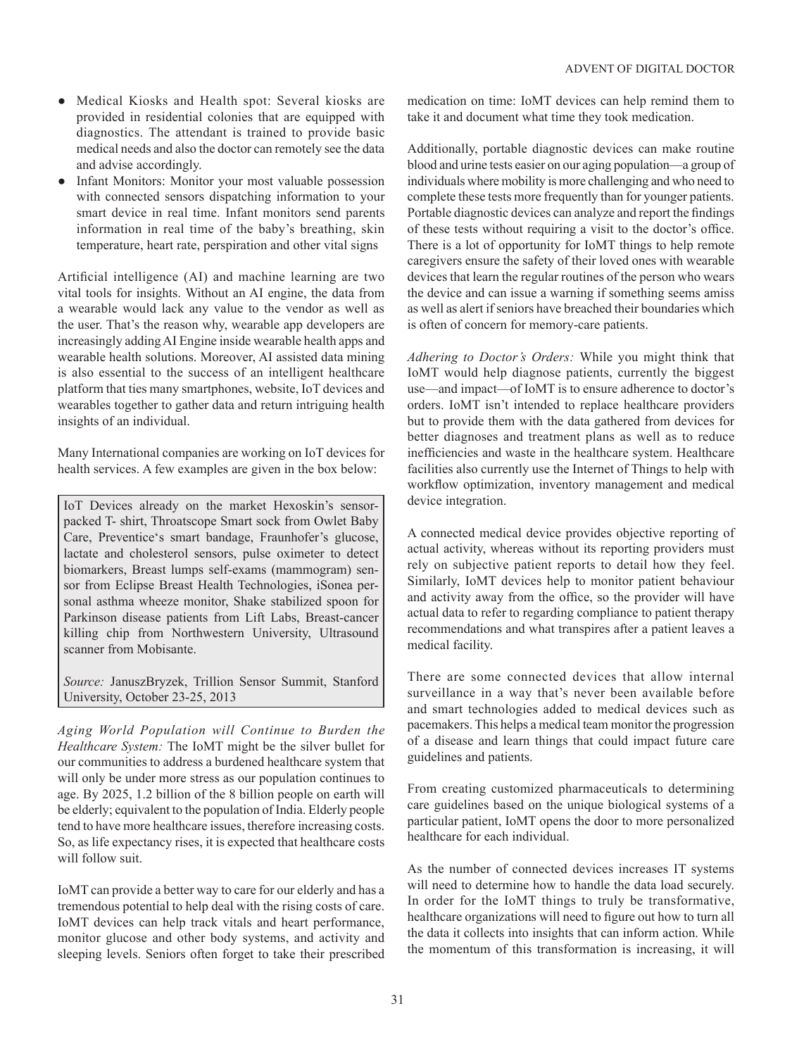- Medical Kiosks and Health spot: Several kiosks are provided in residential colonies that are equipped with diagnostics. The attendant is trained to provide basic medical needs and also the doctor can remotely see the data and advise accordingly.
- Infant Monitors: Monitor your most valuable possession with connected sensors dispatching information to your smart device in real time. Infant monitors send parents information in real time of the baby's breathing, skin temperature, heart rate, perspiration and other vital signs

Artificial intelligence (AI) and machine learning are two vital tools for insights. Without an AI engine, the data from a wearable would lack any value to the vendor as well as the user. That's the reason why, wearable app developers are increasingly adding AI Engine inside wearable health apps and wearable health solutions. Moreover, AI assisted data mining is also essential to the success of an intelligent healthcare platform that ties many smartphones, website, IoT devices and wearables together to gather data and return intriguing health insights of an individual.

Many International companies are working on IoT devices for health services. A few examples are given in the box below:

IoT Devices already on the market Hexoskin's sensorpacked T- shirt, Throatscope Smart sock from Owlet Baby Care, Preventice's smart bandage, Fraunhofer's glucose, lactate and cholesterol sensors, pulse oximeter to detect biomarkers, Breast lumps self-exams (mammogram) sensor from Eclipse Breast Health Technologies, iSonea personal asthma wheeze monitor, Shake stabilized spoon for Parkinson disease patients from Lift Labs, Breast-cancer killing chip from Northwestern University, Ultrasound scanner from Mobisante.

*Source:* JanuszBryzek, Trillion Sensor Summit, Stanford University, October 23-25, 2013

*Aging World Population will Continue to Burden the Healthcare System:* The IoMT might be the silver bullet for our communities to address a burdened healthcare system that will only be under more stress as our population continues to age. By 2025, 1.2 billion of the 8 billion people on earth will be elderly; equivalent to the population of India. Elderly people tend to have more healthcare issues, therefore increasing costs. So, as life expectancy rises, it is expected that healthcare costs will follow suit.

IoMT can provide a better way to care for our elderly and has a tremendous potential to help deal with the rising costs of care. IoMT devices can help track vitals and heart performance, monitor glucose and other body systems, and activity and sleeping levels. Seniors often forget to take their prescribed

medication on time: IoMT devices can help remind them to take it and document what time they took medication.

Additionally, portable diagnostic devices can make routine blood and urine tests easier on our aging population—a group of individuals where mobility is more challenging and who need to complete these tests more frequently than for younger patients. Portable diagnostic devices can analyze and report the findings of these tests without requiring a visit to the doctor's office. There is a lot of opportunity for IoMT things to help remote caregivers ensure the safety of their loved ones with wearable devices that learn the regular routines of the person who wears the device and can issue a warning if something seems amiss as well as alert if seniors have breached their boundaries which is often of concern for memory-care patients.

*Adhering to Doctor's Orders:* While you might think that IoMT would help diagnose patients, currently the biggest use—and impact—of IoMT is to ensure adherence to doctor's orders. IoMT isn't intended to replace healthcare providers but to provide them with the data gathered from devices for better diagnoses and treatment plans as well as to reduce inefficiencies and waste in the healthcare system. Healthcare facilities also currently use the Internet of Things to help with workflow optimization, inventory management and medical device integration.

A connected medical device provides objective reporting of actual activity, whereas without its reporting providers must rely on subjective patient reports to detail how they feel. Similarly, IoMT devices help to monitor patient behaviour and activity away from the office, so the provider will have actual data to refer to regarding compliance to patient therapy recommendations and what transpires after a patient leaves a medical facility.

There are some connected devices that allow internal surveillance in a way that's never been available before and smart technologies added to medical devices such as pacemakers. This helps a medical team monitor the progression of a disease and learn things that could impact future care guidelines and patients.

From creating customized pharmaceuticals to determining care guidelines based on the unique biological systems of a particular patient, IoMT opens the door to more personalized healthcare for each individual.

As the number of connected devices increases IT systems will need to determine how to handle the data load securely. In order for the IoMT things to truly be transformative, healthcare organizations will need to figure out how to turn all the data it collects into insights that can inform action. While the momentum of this transformation is increasing, it will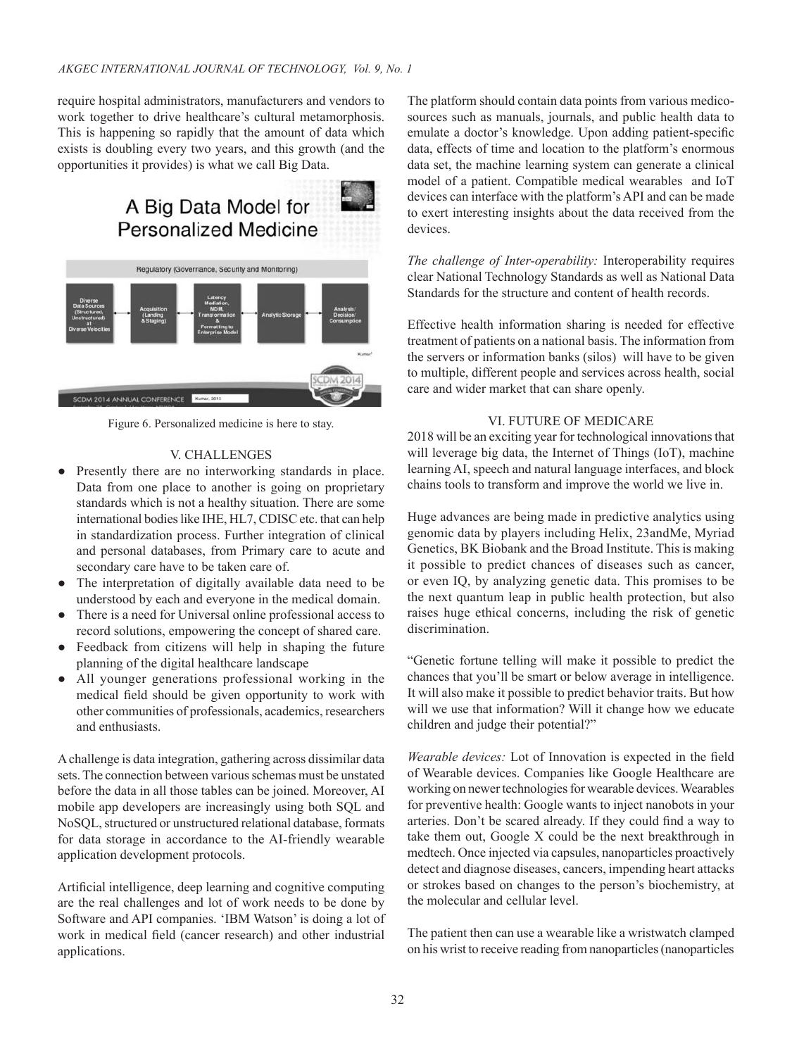require hospital administrators, manufacturers and vendors to work together to drive healthcare's cultural metamorphosis. This is happening so rapidly that the amount of data which exists is doubling every two years, and this growth (and the opportunities it provides) is what we call Big Data.



Figure 6. Personalized medicine is here to stay.

# V. CHALLENGES

- Presently there are no interworking standards in place. Data from one place to another is going on proprietary standards which is not a healthy situation. There are some international bodies like IHE, HL7, CDISC etc. that can help in standardization process. Further integration of clinical and personal databases, from Primary care to acute and secondary care have to be taken care of.
- The interpretation of digitally available data need to be understood by each and everyone in the medical domain.
- There is a need for Universal online professional access to record solutions, empowering the concept of shared care.
- Feedback from citizens will help in shaping the future planning of the digital healthcare landscape
- All younger generations professional working in the medical field should be given opportunity to work with other communities of professionals, academics, researchers and enthusiasts.

A challenge is data integration, gathering across dissimilar data sets. The connection between various schemas must be unstated before the data in all those tables can be joined. Moreover, AI mobile app developers are increasingly using both SQL and NoSQL, structured or unstructured relational database, formats for data storage in accordance to the AI-friendly wearable application development protocols.

Artificial intelligence, deep learning and cognitive computing are the real challenges and lot of work needs to be done by Software and API companies. 'IBM Watson' is doing a lot of work in medical field (cancer research) and other industrial applications.

The platform should contain data points from various medicosources such as manuals, journals, and public health data to emulate a doctor's knowledge. Upon adding patient-specific data, effects of time and location to the platform's enormous data set, the machine learning system can generate a clinical model of a patient. Compatible medical wearables and IoT devices can interface with the platform's API and can be made to exert interesting insights about the data received from the devices.

*The challenge of Inter-operability:* Interoperability requires clear National Technology Standards as well as National Data Standards for the structure and content of health records.

Effective health information sharing is needed for effective treatment of patients on a national basis. The information from the servers or information banks (silos) will have to be given to multiple, different people and services across health, social care and wider market that can share openly.

## VI. FUTURE OF MEDICARE

2018 will be an exciting year for technological innovations that will leverage big data, the Internet of Things (IoT), machine learning AI, speech and natural language interfaces, and block chains tools to transform and improve the world we live in.

Huge advances are being made in predictive analytics using genomic data by players including Helix, 23andMe, Myriad Genetics, BK Biobank and the Broad Institute. This is making it possible to predict chances of diseases such as cancer, or even IQ, by analyzing genetic data. This promises to be the next quantum leap in public health protection, but also raises huge ethical concerns, including the risk of genetic discrimination.

"Genetic fortune telling will make it possible to predict the chances that you'll be smart or below average in intelligence. It will also make it possible to predict behavior traits. But how will we use that information? Will it change how we educate children and judge their potential?"

*Wearable devices:* Lot of Innovation is expected in the field of Wearable devices. Companies like Google Healthcare are working on newer technologies for wearable devices. Wearables for preventive health: Google wants to inject nanobots in your arteries. Don't be scared already. If they could find a way to take them out, Google X could be the next breakthrough in medtech. Once injected via capsules, nanoparticles proactively detect and diagnose diseases, cancers, impending heart attacks or strokes based on changes to the person's biochemistry, at the molecular and cellular level.

The patient then can use a wearable like a wristwatch clamped on his wrist to receive reading from nanoparticles (nanoparticles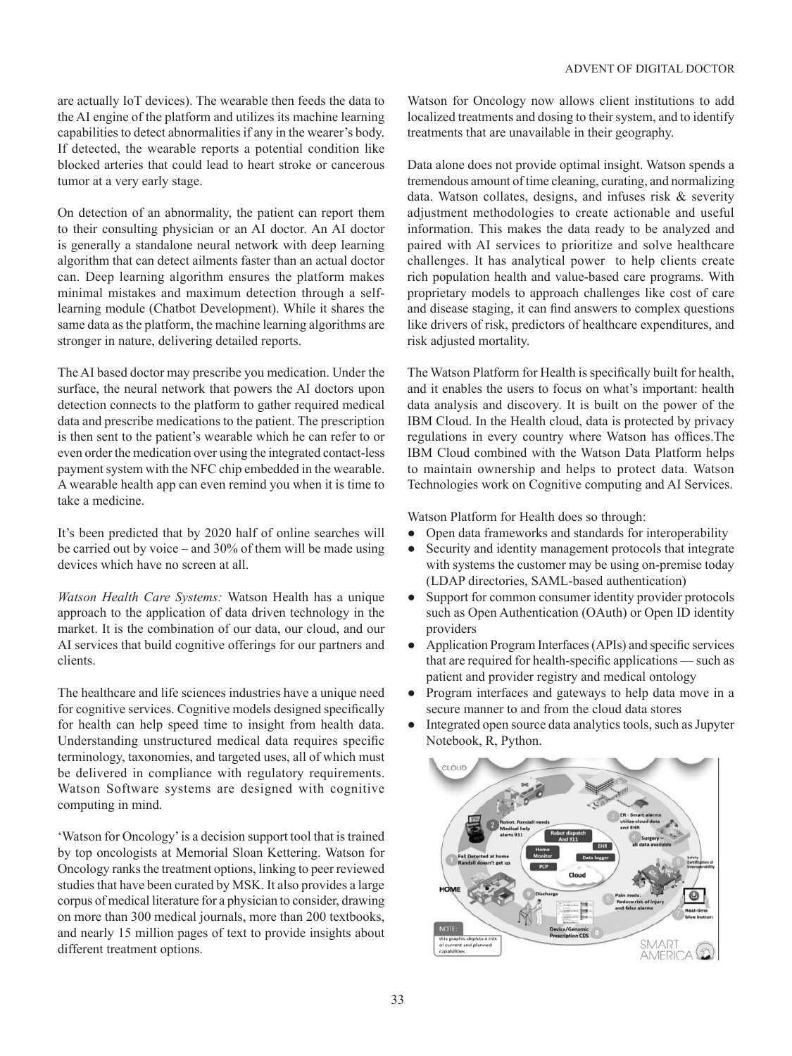are actually IoT devices). The wearable then feeds the data to the AI engine of the platform and utilizes its machine learning capabilities to detect abnormalities if any in the wearer's body. If detected, the wearable reports a potential condition like blocked arteries that could lead to heart stroke or cancerous tumor at a very early stage.

On detection of an abnormality, the patient can report them to their consulting physician or an AI doctor. An AI doctor is generally a standalone neural network with deep learning algorithm that can detect ailments faster than an actual doctor can. Deep learning algorithm ensures the platform makes minimal mistakes and maximum detection through a selflearning module (Chatbot Development). While it shares the same data as the platform, the machine learning algorithms are stronger in nature, delivering detailed reports.

The AI based doctor may prescribe you medication. Under the surface, the neural network that powers the AI doctors upon detection connects to the platform to gather required medical data and prescribe medications to the patient. The prescription is then sent to the patient's wearable which he can refer to or even order the medication over using the integrated contact-less payment system with the NFC chip embedded in the wearable. A wearable health app can even remind you when it is time to take a medicine.

It's been predicted that by 2020 half of online searches will be carried out by voice – and 30% of them will be made using devices which have no screen at all.

*Watson Health Care Systems:* Watson Health has a unique approach to the application of data driven technology in the market. It is the combination of our data, our cloud, and our AI services that build cognitive offerings for our partners and clients.

The healthcare and life sciences industries have a unique need for cognitive services. Cognitive models designed specifically for health can help speed time to insight from health data. Understanding unstructured medical data requires specific terminology, taxonomies, and targeted uses, all of which must be delivered in compliance with regulatory requirements. Watson Software systems are designed with cognitive computing in mind.

'Watson for Oncology' is a decision support tool that is trained by top oncologists at Memorial Sloan Kettering. Watson for Oncology ranks the treatment options, linking to peer reviewed studies that have been curated by MSK. It also provides a large corpus of medical literature for a physician to consider, drawing on more than 300 medical journals, more than 200 textbooks, and nearly 15 million pages of text to provide insights about different treatment options.

Watson for Oncology now allows client institutions to add localized treatments and dosing to their system, and to identify treatments that are unavailable in their geography.

Data alone does not provide optimal insight. Watson spends a tremendous amount of time cleaning, curating, and normalizing data. Watson collates, designs, and infuses risk & severity adjustment methodologies to create actionable and useful information. This makes the data ready to be analyzed and paired with AI services to prioritize and solve healthcare challenges. It has analytical power to help clients create rich population health and value-based care programs. With proprietary models to approach challenges like cost of care and disease staging, it can find answers to complex questions like drivers of risk, predictors of healthcare expenditures, and risk adjusted mortality.

The Watson Platform for Health is specifically built for health, and it enables the users to focus on what's important: health data analysis and discovery. It is built on the power of the IBM Cloud. In the Health cloud, data is protected by privacy regulations in every country where Watson has offices.The IBM Cloud combined with the Watson Data Platform helps to maintain ownership and helps to protect data. Watson Technologies work on Cognitive computing and AI Services.

Watson Platform for Health does so through:

- Open data frameworks and standards for interoperability
- Security and identity management protocols that integrate with systems the customer may be using on-premise today (LDAP directories, SAML-based authentication)
- Support for common consumer identity provider protocols such as Open Authentication (OAuth) or Open ID identity providers
- Application Program Interfaces (APIs) and specific services that are required for health-specific applications — such as patient and provider registry and medical ontology
- Program interfaces and gateways to help data move in a secure manner to and from the cloud data stores
- Integrated open source data analytics tools, such as Jupyter Notebook, R, Python.